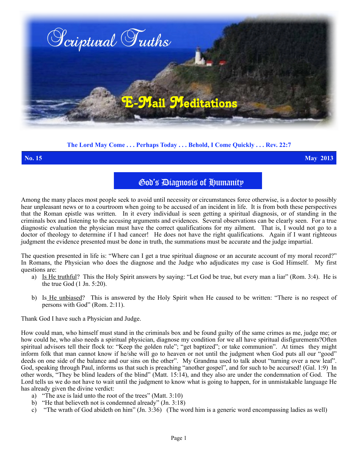

## **The Lord May Come . . . Perhaps Today . . . Behold, I Come Quickly . . . Rev. 22:7**

**No. 15 May 2013**

# God's Diagnosis of Humanity

Among the many places most people seek to avoid until necessity or circumstances force otherwise, is a doctor to possibly hear unpleasant news or to a courtroom when going to be accused of an incident in life. It is from both these perspectives that the Roman epistle was written. In it every individual is seen getting a spiritual diagnosis, or of standing in the criminals box and listening to the accusing arguments and evidences. Several observations can be clearly seen. For a true diagnostic evaluation the physician must have the correct qualifications for my ailment. That is, I would not go to a doctor of theology to determine if I had cancer! He does not have the right qualifications. Again if I want righteous judgment the evidence presented must be done in truth, the summations must be accurate and the judge impartial.

The question presented in life is: "Where can I get a true spiritual diagnose or an accurate account of my moral record?" In Romans, the Physician who does the diagnose and the Judge who adjudicates my case is God Himself. My first questions are:

- a) Is He truthful? This the Holy Spirit answers by saying: "Let God be true, but every man a liar" (Rom. 3:4). He is the true God (1 Jn. 5:20).
- b) Is He unbiased? This is answered by the Holy Spirit when He caused to be written: "There is no respect of persons with God" (Rom. 2:11).

Thank God I have such a Physician and Judge.

How could man, who himself must stand in the criminals box and be found guilty of the same crimes as me, judge me; or how could he, who also needs a spiritual physician, diagnose my condition for we all have spiritual disfigurements?Often spiritual advisors tell their flock to: "Keep the golden rule"; "get baptized"; or take communion". At times they might inform folk that man cannot know if he/she will go to heaven or not until the judgment when God puts all our "good" deeds on one side of the balance and our sins on the other". My Grandma used to talk about "turning over a new leaf". God, speaking through Paul, informs us that such is preaching "another gospel", and for such to be accursed! (Gal. 1:9)In other words, "They be blind leaders of the blind" (Matt. 15:14), and they also are under the condemnation of God. The Lord tells us we do not have to wait until the judgment to know what is going to happen, for in unmistakable language He has already given the divine verdict:

- a) "The axe is laid unto the root of the trees" (Matt. 3:10)
- b) "He that believeth not is condemned already" (Jn. 3:18)
- c) "The wrath of God abideth on him" (Jn. 3:36) (The word him is a generic word encompassing ladies as well)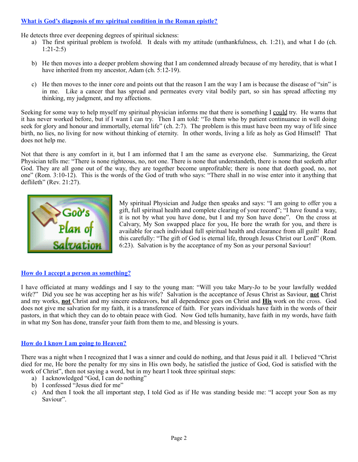# **What is God's diagnosis of my spiritual condition in the Roman epistle?**

He detects three ever deepening degrees of spiritual sickness:

- a) The first spiritual problem is twofold. It deals with my attitude (unthankfulness, ch. 1:21), and what I do (ch. 1:21-2:5)
- b) He then moves into a deeper problem showing that I am condemned already because of my heredity, that is what I have inherited from my ancestor, Adam (ch. 5:12-19).
- c) He then moves to the inner core and points out that the reason I am the way I am is because the disease of "sin" is in me. Like a cancer that has spread and permeates every vital bodily part, so sin has spread affecting my thinking, my judgment, and my affections.

Seeking for some way to help myself my spiritual physician informs me that there is something I could try. He warns that it has never worked before, but if I want I can try. Then I am told: "To them who by patient continuance in well doing seek for glory and honour and immortally, eternal life" (ch. 2:7). The problem is this must have been my way of life since birth, no lies, no living for now without thinking of eternity. In other words, living a life as holy as God Himself! That does not help me.

Not that there is any comfort in it, but I am informed that I am the same as everyone else. Summarizing, the Great Physician tells me: "There is none righteous, no, not one. There is none that understandeth, there is none that seeketh after God. They are all gone out of the way, they are together become unprofitable; there is none that doeth good, no, not one" (Rom. 3:10-12). This is the words of the God of truth who says: "There shall in no wise enter into it anything that deflileth" (Rev. 21:27).



My spiritual Physician and Judge then speaks and says: "I am going to offer you a gift, full spiritual health and complete clearing of your record"; "I have found a way, it is not by what you have done, but I and my Son have done". On the cross at Calvary, My Son swapped place for you, He bore the wrath for you, and there is available for each individual full spiritual health and clearance from all guilt! Read this carefully: "The gift of God is eternal life, through Jesus Christ our Lord" (Rom. 6:23). Salvation is by the acceptance of my Son as your personal Saviour!

### **How do I accept a person as something?**

I have officiated at many weddings and I say to the young man: "Will you take Mary-Jo to be your lawfully wedded wife?" Did you see he was accepting her as his wife? Salvation is the acceptance of Jesus Christ as Saviour, **not** Christ and my works, **not** Christ and my sincere endeavors, but all dependence goes on Christ and **His** work on the cross. God does not give me salvation for my faith, it is a transference of faith. For years individuals have faith in the words of their pastors, in that which they can do to obtain peace with God. Now God tells humanity, have faith in my words, have faith in what my Son has done, transfer your faith from them to me, and blessing is yours.

### **How do I know I am going to Heaven?**

There was a night when I recognized that I was a sinner and could do nothing, and that Jesus paid it all. I believed "Christ died for me, He bore the penalty for my sins in His own body, he satisfied the justice of God, God is satisfied with the work of Christ", then not saying a word, but in my heart I took three spiritual steps:

- a) I acknowledged "God, I can do nothing"
- b) I confessed "Jesus died for me"
- c) And then I took the all important step, I told God as if He was standing beside me: "I accept your Son as my Saviour".